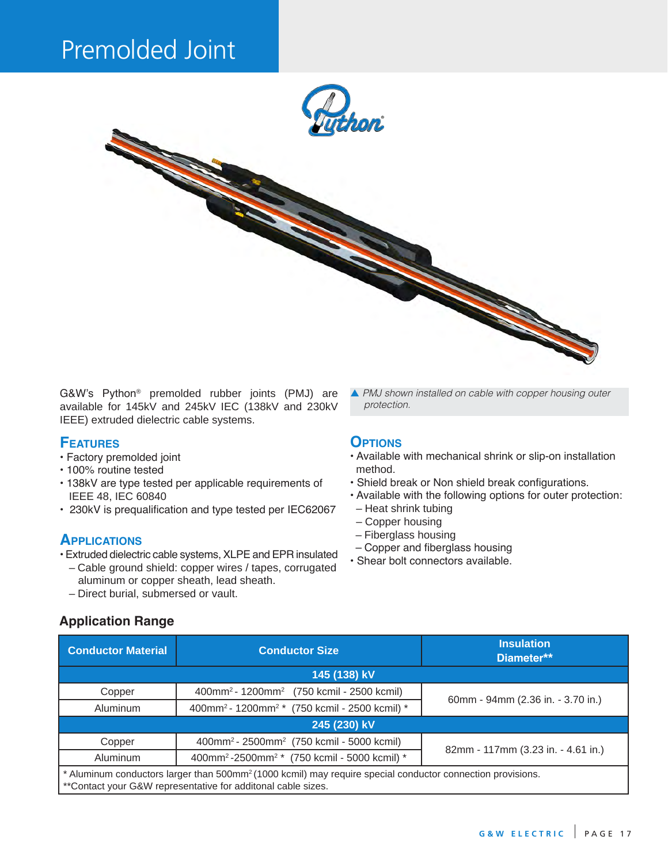# Premolded Joint



G&W's Python® premolded rubber joints (PMJ) are available for 145kV and 245kV IEC (138kV and 230kV IEEE) extruded dielectric cable systems.

#### **Features**

- Factory premolded joint
- 100% routine tested
- 138kV are type tested per applicable requirements of IEEE 48, IEC 60840
- 230kV is prequalification and type tested per IEC62067

#### **Applications**

- Extruded dielectric cable systems, XLPE and EPR insulated
- Cable ground shield: copper wires / tapes, corrugated aluminum or copper sheath, lead sheath.
- Direct burial, submersed or vault.

## **Application Range**

p *PMJ shown installed on cable with copper housing outer*  protection.

#### **OPTIONS**

- Available with mechanical shrink or slip-on installation method.
- Shield break or Non shield break configurations.
- Available with the following options for outer protection:
- Heat shrink tubing
- Copper housing
- Fiberglass housing
- Copper and fiberglass housing
- Shear bolt connectors available.

| <b>Conductor Material</b>                                                                                                                                                               | <b>Conductor Size</b>                                                 | <b>Insulation</b><br>Diameter**    |  |
|-----------------------------------------------------------------------------------------------------------------------------------------------------------------------------------------|-----------------------------------------------------------------------|------------------------------------|--|
| 145 (138) kV                                                                                                                                                                            |                                                                       |                                    |  |
| Copper                                                                                                                                                                                  | 400mm <sup>2</sup> - 1200mm <sup>2</sup> (750 kcmil - 2500 kcmil)     | 60mm - 94mm (2.36 in. - 3.70 in.)  |  |
| Aluminum                                                                                                                                                                                | 400mm <sup>2</sup> - 1200mm <sup>2</sup> * (750 kcmil - 2500 kcmil) * |                                    |  |
| 245 (230) kV                                                                                                                                                                            |                                                                       |                                    |  |
| Copper                                                                                                                                                                                  | 400mm <sup>2</sup> - 2500mm <sup>2</sup> (750 kcmil - 5000 kcmil)     | 82mm - 117mm (3.23 in. - 4.61 in.) |  |
| <b>Aluminum</b>                                                                                                                                                                         | 400mm <sup>2</sup> -2500mm <sup>2</sup> * (750 kcmil - 5000 kcmil) *  |                                    |  |
| * Aluminum conductors larger than 500mm <sup>2</sup> (1000 kcmil) may require special conductor connection provisions.<br>** Contact your G&W representative for additonal cable sizes. |                                                                       |                                    |  |